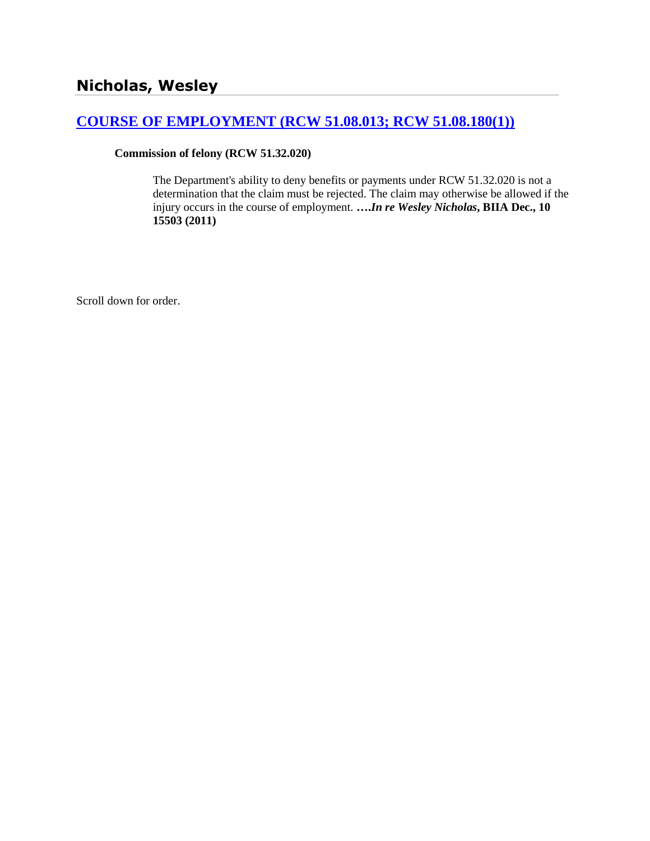# **[COURSE OF EMPLOYMENT \(RCW 51.08.013; RCW 51.08.180\(1\)\)](http://www.biia.wa.gov/SDSubjectIndex.html#COURSE_OF_EMPLOYMENT)**

## **Commission of felony (RCW 51.32.020)**

The Department's ability to deny benefits or payments under RCW 51.32.020 is not a determination that the claim must be rejected. The claim may otherwise be allowed if the injury occurs in the course of employment. **….***In re Wesley Nicholas***, BIIA Dec., 10 15503 (2011)**

Scroll down for order.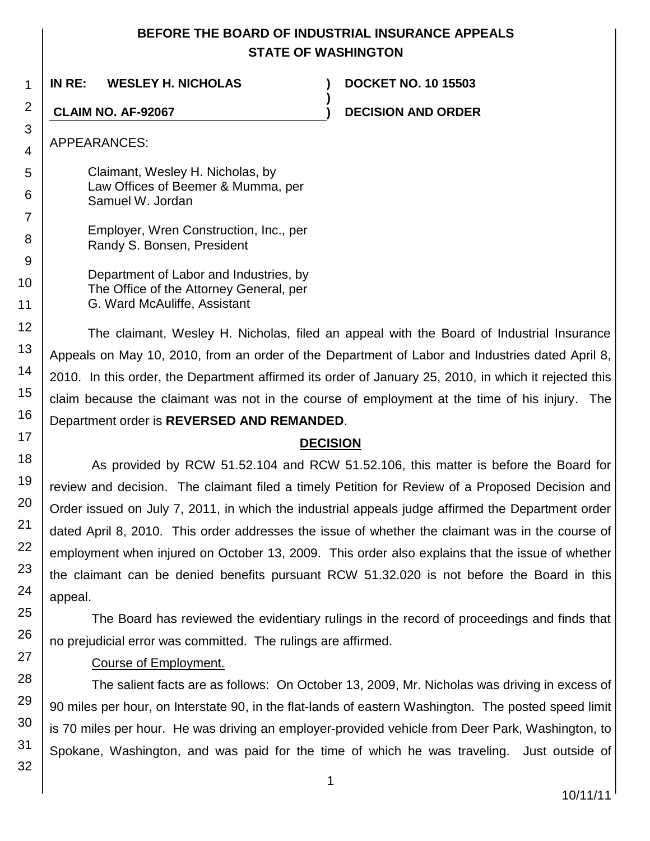# **BEFORE THE BOARD OF INDUSTRIAL INSURANCE APPEALS STATE OF WASHINGTON**

**)**

**IN RE: WESLEY H. NICHOLAS ) DOCKET NO. 10 15503**

**CLAIM NO. AF-92067 ) DECISION AND ORDER**

APPEARANCES:

Claimant, Wesley H. Nicholas, by Law Offices of Beemer & Mumma, per Samuel W. Jordan

- Employer, Wren Construction, Inc., per Randy S. Bonsen, President
	- Department of Labor and Industries, by The Office of the Attorney General, per G. Ward McAuliffe, Assistant

The claimant, Wesley H. Nicholas, filed an appeal with the Board of Industrial Insurance Appeals on May 10, 2010, from an order of the Department of Labor and Industries dated April 8, 2010. In this order, the Department affirmed its order of January 25, 2010, in which it rejected this claim because the claimant was not in the course of employment at the time of his injury. The Department order is **REVERSED AND REMANDED**.

# **DECISION**

As provided by RCW 51.52.104 and RCW 51.52.106, this matter is before the Board for review and decision. The claimant filed a timely Petition for Review of a Proposed Decision and Order issued on July 7, 2011, in which the industrial appeals judge affirmed the Department order dated April 8, 2010. This order addresses the issue of whether the claimant was in the course of employment when injured on October 13, 2009. This order also explains that the issue of whether the claimant can be denied benefits pursuant RCW 51.32.020 is not before the Board in this appeal.

The Board has reviewed the evidentiary rulings in the record of proceedings and finds that no prejudicial error was committed. The rulings are affirmed.

# Course of Employment.

The salient facts are as follows: On October 13, 2009, Mr. Nicholas was driving in excess of 90 miles per hour, on Interstate 90, in the flat-lands of eastern Washington. The posted speed limit is 70 miles per hour. He was driving an employer-provided vehicle from Deer Park, Washington, to Spokane, Washington, and was paid for the time of which he was traveling. Just outside of

1

2

3

4

5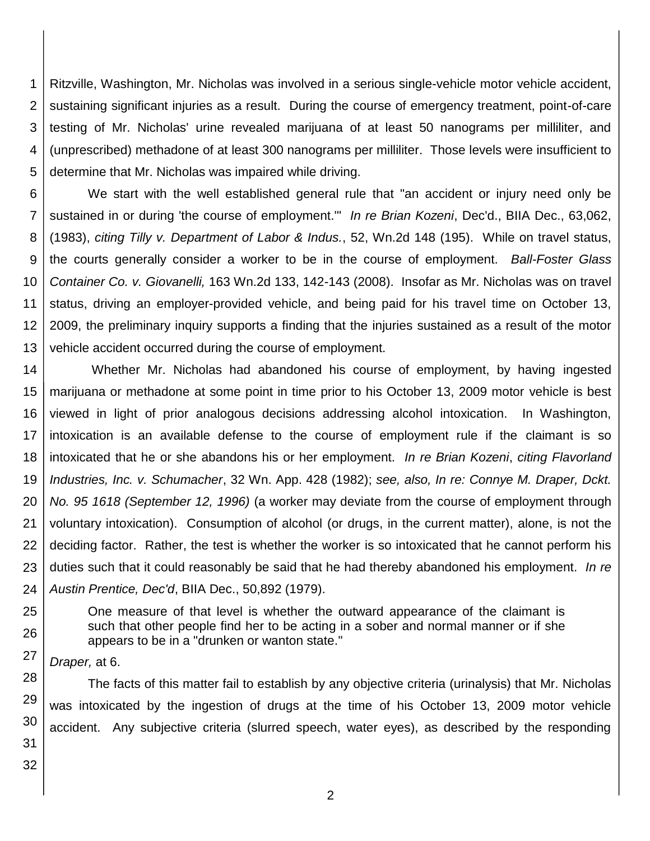1 2 3 4 5 Ritzville, Washington, Mr. Nicholas was involved in a serious single-vehicle motor vehicle accident, sustaining significant injuries as a result. During the course of emergency treatment, point-of-care testing of Mr. Nicholas' urine revealed marijuana of at least 50 nanograms per milliliter, and (unprescribed) methadone of at least 300 nanograms per milliliter. Those levels were insufficient to determine that Mr. Nicholas was impaired while driving.

6 7 8 9 10 11 12 13 We start with the well established general rule that "an accident or injury need only be sustained in or during 'the course of employment.'" *In re Brian Kozeni*, Dec'd., BIIA Dec., 63,062, (1983), *citing Tilly v. Department of Labor & Indus.*, 52, Wn.2d 148 (195). While on travel status, the courts generally consider a worker to be in the course of employment. *Ball-Foster Glass Container Co. v. Giovanelli,* 163 Wn.2d 133, 142-143 (2008). Insofar as Mr. Nicholas was on travel status, driving an employer-provided vehicle, and being paid for his travel time on October 13, 2009, the preliminary inquiry supports a finding that the injuries sustained as a result of the motor vehicle accident occurred during the course of employment.

14 15 16 17 18 19 20 21 22 23 24 Whether Mr. Nicholas had abandoned his course of employment, by having ingested marijuana or methadone at some point in time prior to his October 13, 2009 motor vehicle is best viewed in light of prior analogous decisions addressing alcohol intoxication. In Washington, intoxication is an available defense to the course of employment rule if the claimant is so intoxicated that he or she abandons his or her employment. *In re Brian Kozeni*, *citing Flavorland Industries, Inc. v. Schumacher*, 32 Wn. App. 428 (1982); *see, also, In re: Connye M. Draper, Dckt. No. 95 1618 (September 12, 1996)* (a worker may deviate from the course of employment through voluntary intoxication). Consumption of alcohol (or drugs, in the current matter), alone, is not the deciding factor. Rather, the test is whether the worker is so intoxicated that he cannot perform his duties such that it could reasonably be said that he had thereby abandoned his employment. *In re Austin Prentice, Dec'd*, BIIA Dec., 50,892 (1979).

One measure of that level is whether the outward appearance of the claimant is such that other people find her to be acting in a sober and normal manner or if she appears to be in a "drunken or wanton state."

27 *Draper,* at 6.

28 29 30 The facts of this matter fail to establish by any objective criteria (urinalysis) that Mr. Nicholas was intoxicated by the ingestion of drugs at the time of his October 13, 2009 motor vehicle accident. Any subjective criteria (slurred speech, water eyes), as described by the responding

31 32

25

26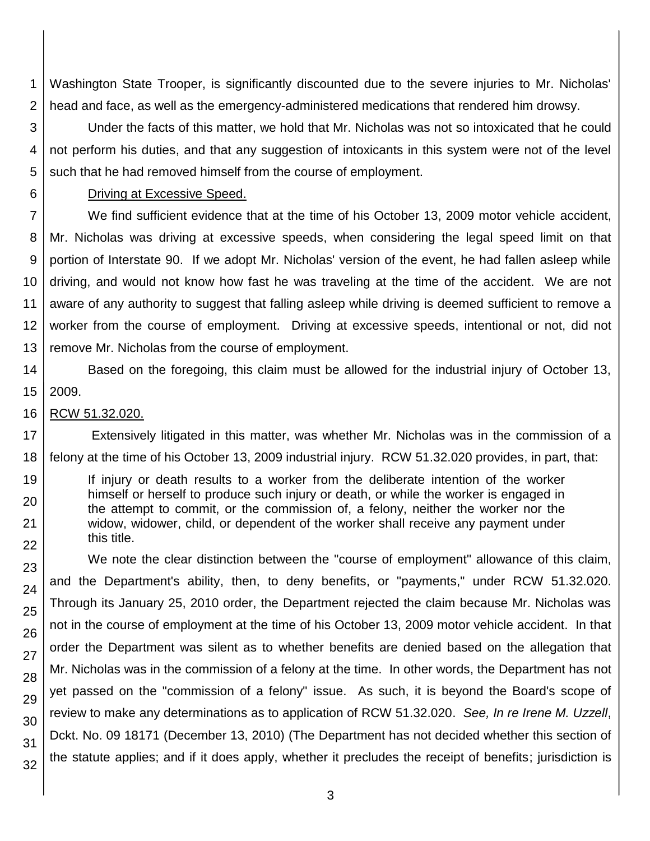1 2 Washington State Trooper, is significantly discounted due to the severe injuries to Mr. Nicholas' head and face, as well as the emergency-administered medications that rendered him drowsy.

3 4 5 Under the facts of this matter, we hold that Mr. Nicholas was not so intoxicated that he could not perform his duties, and that any suggestion of intoxicants in this system were not of the level such that he had removed himself from the course of employment.

### Driving at Excessive Speed.

7 8 9 10 11 12 13 We find sufficient evidence that at the time of his October 13, 2009 motor vehicle accident, Mr. Nicholas was driving at excessive speeds, when considering the legal speed limit on that portion of Interstate 90. If we adopt Mr. Nicholas' version of the event, he had fallen asleep while driving, and would not know how fast he was traveling at the time of the accident. We are not aware of any authority to suggest that falling asleep while driving is deemed sufficient to remove a worker from the course of employment. Driving at excessive speeds, intentional or not, did not remove Mr. Nicholas from the course of employment.

14 15 Based on the foregoing, this claim must be allowed for the industrial injury of October 13, 2009.

#### 16 RCW 51.32.020.

6

19

20

21 22

17 18 Extensively litigated in this matter, was whether Mr. Nicholas was in the commission of a felony at the time of his October 13, 2009 industrial injury. RCW 51.32.020 provides, in part, that:

If injury or death results to a worker from the deliberate intention of the worker himself or herself to produce such injury or death, or while the worker is engaged in the attempt to commit, or the commission of, a felony, neither the worker nor the widow, widower, child, or dependent of the worker shall receive any payment under this title.

23 24 25 26 27 28 29 30 31 32 We note the clear distinction between the "course of employment" allowance of this claim, and the Department's ability, then, to deny benefits, or "payments," under RCW 51.32.020. Through its January 25, 2010 order, the Department rejected the claim because Mr. Nicholas was not in the course of employment at the time of his October 13, 2009 motor vehicle accident. In that order the Department was silent as to whether benefits are denied based on the allegation that Mr. Nicholas was in the commission of a felony at the time. In other words, the Department has not yet passed on the "commission of a felony" issue. As such, it is beyond the Board's scope of review to make any determinations as to application of RCW 51.32.020. *See, In re Irene M. Uzzell*, Dckt. No. 09 18171 (December 13, 2010) (The Department has not decided whether this section of the statute applies; and if it does apply, whether it precludes the receipt of benefits; jurisdiction is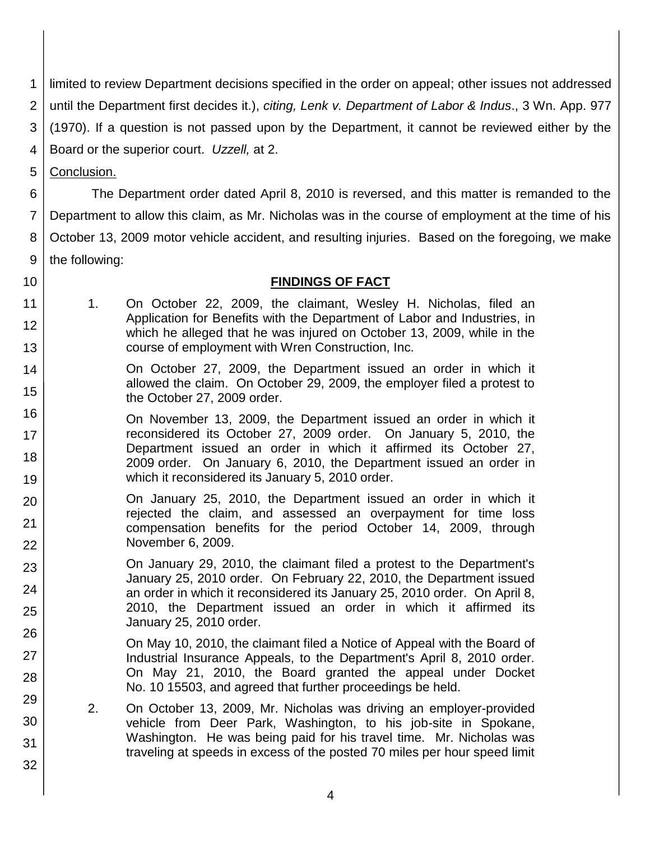1 limited to review Department decisions specified in the order on appeal; other issues not addressed

2 until the Department first decides it.), *citing, Lenk [v. Department of Labor & Indus](http://www.lexis.com/research/buttonTFLink?_m=4f714e376256a93daa2d60deb951c7af&_xfercite=%3ccite%20cc%3d%22USA%22%3e%3c%21%5bCDATA%5b2010%20WA%20Wrk.%20Comp.%20LEXIS%20223%5d%5d%3e%3c%2fcite%3e&_butType=3&_butStat=2&_butNum=7&_butInline=1&_butinfo=%3ccite%20cc%3d%22USA%22%3e%3c%21%5bCDATA%5b3%20Wn.%20App.%20977%5d%5d%3e%3c%2fcite%3e&_fmtstr=FULL&docnum=2&_startdoc=1&wchp=dGLzVzS-zSkAz&_md5=9f5b2b8d0916aafb33814664fe09aeb5)*., 3 Wn. App. 977

3 [\(1970\).](http://www.lexis.com/research/buttonTFLink?_m=4f714e376256a93daa2d60deb951c7af&_xfercite=%3ccite%20cc%3d%22USA%22%3e%3c%21%5bCDATA%5b2010%20WA%20Wrk.%20Comp.%20LEXIS%20223%5d%5d%3e%3c%2fcite%3e&_butType=3&_butStat=2&_butNum=7&_butInline=1&_butinfo=%3ccite%20cc%3d%22USA%22%3e%3c%21%5bCDATA%5b3%20Wn.%20App.%20977%5d%5d%3e%3c%2fcite%3e&_fmtstr=FULL&docnum=2&_startdoc=1&wchp=dGLzVzS-zSkAz&_md5=9f5b2b8d0916aafb33814664fe09aeb5) If a question is not passed upon by the Department, it cannot be reviewed either by the

4 Board or the superior court. *Uzzell,* at 2.

5 Conclusion.

6 7 8 9 The Department order dated April 8, 2010 is reversed, and this matter is remanded to the Department to allow this claim, as Mr. Nicholas was in the course of employment at the time of his October 13, 2009 motor vehicle accident, and resulting injuries. Based on the foregoing, we make the following:

10

13

23

24

25

26

27

28

29

30

31

32

11 12

# **FINDINGS OF FACT**

- 1. On October 22, 2009, the claimant, Wesley H. Nicholas, filed an Application for Benefits with the Department of Labor and Industries, in which he alleged that he was injured on October 13, 2009, while in the course of employment with Wren Construction, Inc.
- 14 15 On October 27, 2009, the Department issued an order in which it allowed the claim. On October 29, 2009, the employer filed a protest to the October 27, 2009 order.
- 16 17 18 19 On November 13, 2009, the Department issued an order in which it reconsidered its October 27, 2009 order. On January 5, 2010, the Department issued an order in which it affirmed its October 27, 2009 order. On January 6, 2010, the Department issued an order in which it reconsidered its January 5, 2010 order.
- 20 21 22 On January 25, 2010, the Department issued an order in which it rejected the claim, and assessed an overpayment for time loss compensation benefits for the period October 14, 2009, through November 6, 2009.
	- On January 29, 2010, the claimant filed a protest to the Department's January 25, 2010 order. On February 22, 2010, the Department issued an order in which it reconsidered its January 25, 2010 order. On April 8, 2010, the Department issued an order in which it affirmed its January 25, 2010 order.
		- On May 10, 2010, the claimant filed a Notice of Appeal with the Board of Industrial Insurance Appeals, to the Department's April 8, 2010 order. On May 21, 2010, the Board granted the appeal under Docket No. 10 15503, and agreed that further proceedings be held.
		- 2. On October 13, 2009, Mr. Nicholas was driving an employer-provided vehicle from Deer Park, Washington, to his job-site in Spokane, Washington. He was being paid for his travel time. Mr. Nicholas was traveling at speeds in excess of the posted 70 miles per hour speed limit